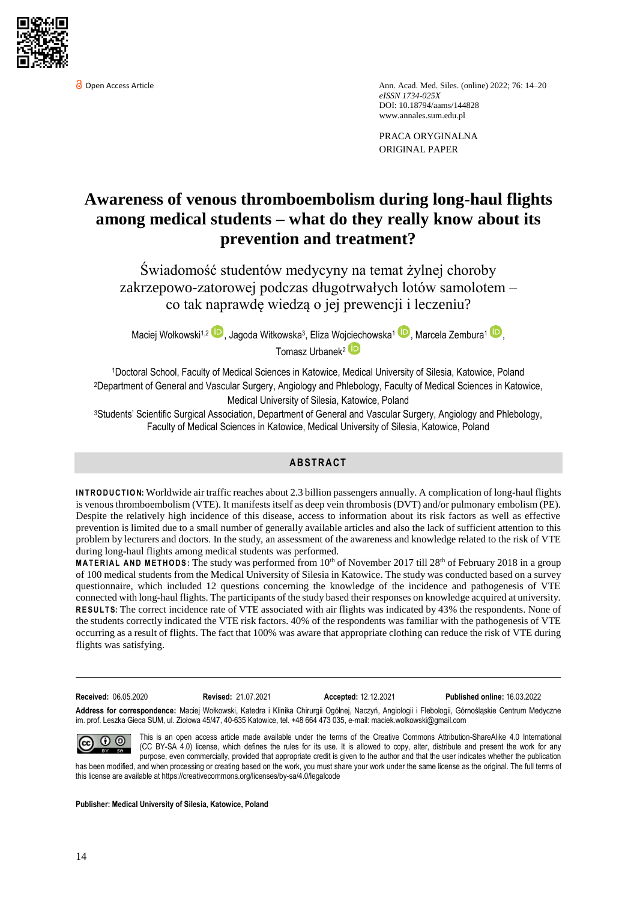

**O** Open Access Article Ann. Acad. Med. Siles. (online) 2022; 76: 14–20 *eISSN 1734-025X*  DOI: 10.18794/aams/144828 [www.annales.sum.edu.pl](https://annales.sum.edu.pl/)

> PRACA ORYGINALNA ORIGINAL PAPER

# **Awareness of venous thromboembolism during long-haul flights among medical students – what do they really know about its prevention and treatment?**

Świadomość studentów medycyny na temat żylnej choroby zakrzepowo-zatorowej podczas długotrwałych lotów samolotem – co tak naprawdę wiedzą o jej prewencji i leczeniu?

Maciej Wołkowski<sup>1,2</sup> (D), Jagoda Witkowska<sup>3</sup>, Eliza Wojciechowska<sup>1</sup> (D)</sup>, Marcela Zembura<sup>1</sup> (D), Tomasz Urbanek<sup>2</sup>

<sup>1</sup>Doctoral School, Faculty of Medical Sciences in Katowice, Medical University of Silesia, Katowice, Poland <sup>2</sup>Department of General and Vascular Surgery, Angiology and Phlebology, Faculty of Medical Sciences in Katowice, Medical University of Silesia, Katowice, Poland

<sup>3</sup>Students' Scientific Surgical Association, Department of General and Vascular Surgery, Angiology and Phlebology, Faculty of Medical Sciences in Katowice, Medical University of Silesia, Katowice, Poland

# **AB STR ACT**

**INTRODUCTION:** Worldwide air traffic reaches about 2.3 billion passengers annually. A complication of long-haul flights is venous thromboembolism (VTE). It manifests itself as deep vein thrombosis (DVT) and/or pulmonary embolism (PE). Despite the relatively high incidence of this disease, access to information about its risk factors as well as effective prevention is limited due to a small number of generally available articles and also the lack of sufficient attention to this problem by lecturers and doctors. In the study, an assessment of the awareness and knowledge related to the risk of VTE during long-haul flights among medical students was performed.

**MATERIAL AND METHODS:** The study was performed from 10<sup>th</sup> of November 2017 till 28<sup>th</sup> of February 2018 in a group of 100 medical students from the Medical University of Silesia in Katowice. The study was conducted based on a survey questionnaire, which included 12 questions concerning the knowledge of the incidence and pathogenesis of VTE connected with long-haul flights. The participants of the study based their responses on knowledge acquired at university. **RESULTS:** The correct incidence rate of VTE associated with air flights was indicated by 43% the respondents. None of the students correctly indicated the VTE risk factors. 40% of the respondents was familiar with the pathogenesis of VTE occurring as a result of flights. The fact that 100% was aware that appropriate clothing can reduce the risk of VTE during flights was satisfying.

**Received:** 06.05.2020 **Revised:** 21.07.2021 **Accepted:** 12.12.2021 **Published online:** 16.03.2022

**Address for correspondence:** Maciej Wołkowski, Katedra i Klinika Chirurgii Ogólnej, Naczyń, Angiologii i Flebologii, Górnośląskie Centrum Medyczne im. prof. Leszka Gieca SUM, ul. Ziołowa 45/47, 40-635 Katowice, tel. +48 664 473 035, e-mail: maciek.wolkowski@gmail.com

This is an open access article made available under the terms of the Creative Commons Attribution-ShareAlike 4.0 International  $\odot$   $\odot$ (CC BY-SA 4.0) license, which defines the rules for its use. It is allowed to copy, alter, distribute and present the work for any purpose, even commercially, provided that appropriate credit is given to the author and that the user indicates whether the publication

has been modified, and when processing or creating based on the work, you must share your work under the same license as the original. The full terms of this license are available a[t https://creativecommons.org/licenses/by-sa/4.0/legalcode](https://creativecommons.org/licenses/by-sa/4.0/legalcode)

**Publisher: Medical University of Silesia, Katowice, Poland**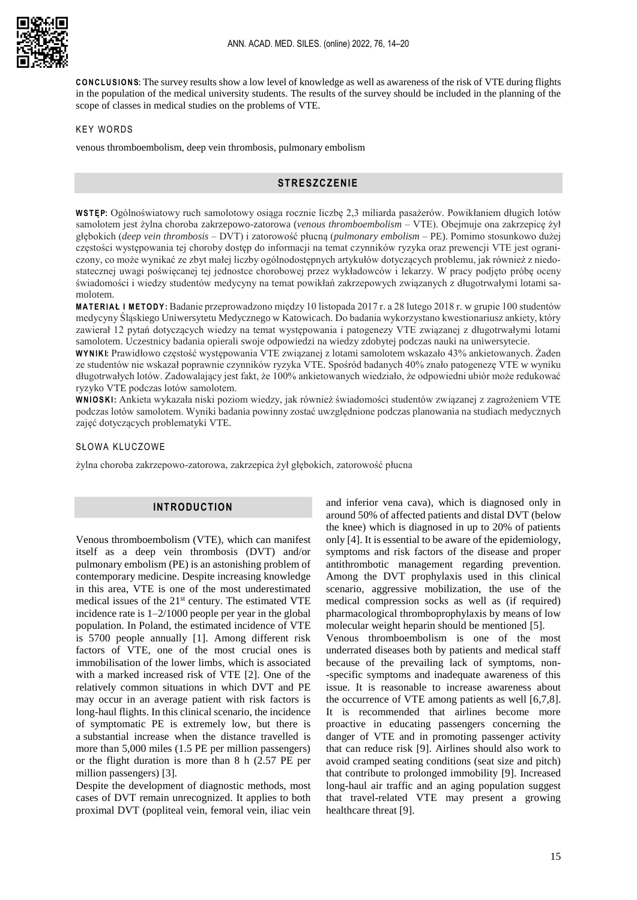**CONCLUSIONS:** The survey results show a low level of knowledge as well as awareness of the risk of VTE during flights in the population of the medical university students. The results of the survey should be included in the planning of the scope of classes in medical studies on the problems of VTE.

#### **KEY WORDS**

venous thromboembolism, deep vein thrombosis, pulmonary embolism

## **STRESZCZENIE**

**W S T ĘP:** Ogólnoświatowy ruch samolotowy osiąga rocznie liczbę 2,3 miliarda pasażerów. Powikłaniem długich lotów samolotem jest żylna choroba zakrzepowo-zatorowa (*venous thromboembolism* – VTE). Obejmuje ona zakrzepicę żył głębokich (*deep vein thrombosis* – DVT) i zatorowość płucną (*pulmonary embolism* – PE). Pomimo stosunkowo dużej częstości występowania tej choroby dostęp do informacji na temat czynników ryzyka oraz prewencji VTE jest ograniczony, co może wynikać ze zbyt małej liczby ogólnodostępnych artykułów dotyczących problemu, jak również z niedostatecznej uwagi poświęcanej tej jednostce chorobowej przez wykładowców i lekarzy. W pracy podjęto próbę oceny świadomości i wiedzy studentów medycyny na temat powikłań zakrzepowych związanych z długotrwałymi lotami samolotem.

**M A T E R I A Ł I M E T O D Y :** Badanie przeprowadzono między 10 listopada 2017 r. a 28 lutego 2018 r. w grupie 100 studentów medycyny Śląskiego Uniwersytetu Medycznego w Katowicach. Do badania wykorzystano kwestionariusz ankiety, który zawierał 12 pytań dotyczących wiedzy na temat występowania i patogenezy VTE związanej z długotrwałymi lotami samolotem. Uczestnicy badania opierali swoje odpowiedzi na wiedzy zdobytej podczas nauki na uniwersytecie.

**W Y N I KI:** Prawidłowo częstość występowania VTE związanej z lotami samolotem wskazało 43% ankietowanych. Żaden ze studentów nie wskazał poprawnie czynników ryzyka VTE. Spośród badanych 40% znało patogenezę VTE w wyniku długotrwałych lotów. Zadowalający jest fakt, że 100% ankietowanych wiedziało, że odpowiedni ubiór może redukować ryzyko VTE podczas lotów samolotem.

**W N I O S K I:** Ankieta wykazała niski poziom wiedzy, jak również świadomości studentów związanej z zagrożeniem VTE podczas lotów samolotem. Wyniki badania powinny zostać uwzględnione podczas planowania na studiach medycznych zajęć dotyczących problematyki VTE.

#### SŁOWA KLUCZOWE

żylna choroba zakrzepowo-zatorowa, zakrzepica żył głębokich, zatorowość płucna

## **INTRODUCTION**

Venous thromboembolism (VTE), which can manifest itself as a deep vein thrombosis (DVT) and/or pulmonary embolism (PE) is an astonishing problem of contemporary medicine. Despite increasing knowledge in this area, VTE is one of the most underestimated medical issues of the 21st century. The estimated VTE incidence rate is 1–2/1000 people per year in the global population. In Poland, the estimated incidence of VTE is 5700 people annually [1]. Among different risk factors of VTE, one of the most crucial ones is immobilisation of the lower limbs, which is associated with a marked increased risk of VTE [2]. One of the relatively common situations in which DVT and PE may occur in an average patient with risk factors is long-haul flights. In this clinical scenario, the incidence of symptomatic PE is extremely low, but there is a substantial increase when the distance travelled is more than 5,000 miles (1.5 PE per million passengers) or the flight duration is more than 8 h (2.57 PE per million passengers) [3].

Despite the development of diagnostic methods, most cases of DVT remain unrecognized. It applies to both proximal DVT (popliteal vein, femoral vein, iliac vein and inferior vena cava), which is diagnosed only in around 50% of affected patients and distal DVT (below the knee) which is diagnosed in up to 20% of patients only [4]. It is essential to be aware of the epidemiology, symptoms and risk factors of the disease and proper antithrombotic management regarding prevention. Among the DVT prophylaxis used in this clinical scenario, aggressive mobilization, the use of the medical compression socks as well as (if required) pharmacological thromboprophylaxis by means of low molecular weight heparin should be mentioned [5].

Venous thromboembolism is one of the most underrated diseases both by patients and medical staff because of the prevailing lack of symptoms, non- -specific symptoms and inadequate awareness of this issue. It is reasonable to increase awareness about the occurrence of VTE among patients as well [6,7,8]. It is recommended that airlines become more proactive in educating passengers concerning the danger of VTE and in promoting passenger activity that can reduce risk [9]. Airlines should also work to avoid cramped seating conditions (seat size and pitch) that contribute to prolonged immobility [9]. Increased long-haul air traffic and an aging population suggest that travel-related VTE may present a growing healthcare threat [9].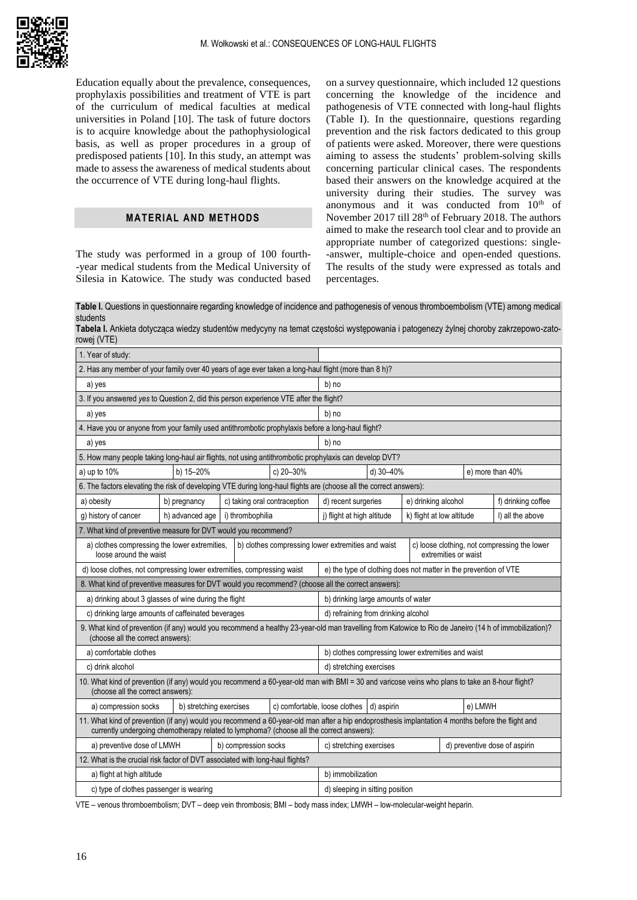

Education equally about the prevalence, consequences, prophylaxis possibilities and treatment of VTE is part of the curriculum of medical faculties at medical universities in Poland [10]. The task of future doctors is to acquire knowledge about the pathophysiological basis, as well as proper procedures in a group of predisposed patients [10]. In this study, an attempt was made to assess the awareness of medical students about the occurrence of VTE during long-haul flights.

## **MATERIAL AND METHODS**

The study was performed in a group of 100 fourth- -year medical students from the Medical University of Silesia in Katowice. The study was conducted based on a survey questionnaire, which included 12 questions concerning the knowledge of the incidence and pathogenesis of VTE connected with long-haul flights (Table I). In the questionnaire, questions regarding prevention and the risk factors dedicated to this group of patients were asked. Moreover, there were questions aiming to assess the students' problem-solving skills concerning particular clinical cases. The respondents based their answers on the knowledge acquired at the university during their studies. The survey was anonymous and it was conducted from  $10<sup>th</sup>$  of November 2017 till 28<sup>th</sup> of February 2018. The authors aimed to make the research tool clear and to provide an appropriate number of categorized questions: single- -answer, multiple-choice and open-ended questions. The results of the study were expressed as totals and percentages.

**Table I.** Questions in questionnaire regarding knowledge of incidence and pathogenesis of venous thromboembolism (VTE) among medical students

**Tabela I.** Ankieta dotycząca wiedzy studentów medycyny na temat częstości występowania i patogenezy żylnej choroby zakrzepowo-zatorowej (VTE)

| 1. Year of study:                                                                                                                                                                                                                             |                                                                  |                              |                         |                                                                      |                                                         |                  |                               |                    |                  |
|-----------------------------------------------------------------------------------------------------------------------------------------------------------------------------------------------------------------------------------------------|------------------------------------------------------------------|------------------------------|-------------------------|----------------------------------------------------------------------|---------------------------------------------------------|------------------|-------------------------------|--------------------|------------------|
| 2. Has any member of your family over 40 years of age ever taken a long-haul flight (more than 8 h)?                                                                                                                                          |                                                                  |                              |                         |                                                                      |                                                         |                  |                               |                    |                  |
| a) yes                                                                                                                                                                                                                                        |                                                                  |                              |                         | b) no                                                                |                                                         |                  |                               |                    |                  |
| 3. If you answered yes to Question 2, did this person experience VTE after the flight?                                                                                                                                                        |                                                                  |                              |                         |                                                                      |                                                         |                  |                               |                    |                  |
| a) yes                                                                                                                                                                                                                                        | b) no                                                            |                              |                         |                                                                      |                                                         |                  |                               |                    |                  |
| 4. Have you or anyone from your family used antithrombotic prophylaxis before a long-haul flight?                                                                                                                                             |                                                                  |                              |                         |                                                                      |                                                         |                  |                               |                    |                  |
| a) yes                                                                                                                                                                                                                                        | b) no                                                            |                              |                         |                                                                      |                                                         |                  |                               |                    |                  |
| 5. How many people taking long-haul air flights, not using antithrombotic prophylaxis can develop DVT?                                                                                                                                        |                                                                  |                              |                         |                                                                      |                                                         |                  |                               |                    |                  |
| a) up to 10%                                                                                                                                                                                                                                  | b) 15-20%                                                        |                              | c) 20-30%               | d) 30-40%                                                            |                                                         | e) more than 40% |                               |                    |                  |
| 6. The factors elevating the risk of developing VTE during long-haul flights are (choose all the correct answers):                                                                                                                            |                                                                  |                              |                         |                                                                      |                                                         |                  |                               |                    |                  |
| a) obesity                                                                                                                                                                                                                                    | b) pregnancy                                                     | c) taking oral contraception |                         | e) drinking alcohol<br>d) recent surgeries                           |                                                         |                  |                               | f) drinking coffee |                  |
| g) history of cancer                                                                                                                                                                                                                          | h) advanced age                                                  | i) thrombophilia             |                         |                                                                      | k) flight at low altitude<br>j) flight at high altitude |                  |                               |                    | I) all the above |
| 7. What kind of preventive measure for DVT would you recommend?                                                                                                                                                                               |                                                                  |                              |                         |                                                                      |                                                         |                  |                               |                    |                  |
| b) clothes compressing lower extremities and waist<br>a) clothes compressing the lower extremities,<br>loose around the waist                                                                                                                 |                                                                  |                              |                         | c) loose clothing, not compressing the lower<br>extremities or waist |                                                         |                  |                               |                    |                  |
| d) loose clothes, not compressing lower extremities, compressing waist                                                                                                                                                                        | e) the type of clothing does not matter in the prevention of VTE |                              |                         |                                                                      |                                                         |                  |                               |                    |                  |
| 8. What kind of preventive measures for DVT would you recommend? (choose all the correct answers):                                                                                                                                            |                                                                  |                              |                         |                                                                      |                                                         |                  |                               |                    |                  |
| a) drinking about 3 glasses of wine during the flight                                                                                                                                                                                         |                                                                  |                              |                         | b) drinking large amounts of water                                   |                                                         |                  |                               |                    |                  |
| c) drinking large amounts of caffeinated beverages                                                                                                                                                                                            | d) refraining from drinking alcohol                              |                              |                         |                                                                      |                                                         |                  |                               |                    |                  |
| 9. What kind of prevention (if any) would you recommend a healthy 23-year-old man travelling from Katowice to Rio de Janeiro (14 h of immobilization)?<br>(choose all the correct answers):                                                   |                                                                  |                              |                         |                                                                      |                                                         |                  |                               |                    |                  |
| a) comfortable clothes                                                                                                                                                                                                                        |                                                                  |                              |                         | b) clothes compressing lower extremities and waist                   |                                                         |                  |                               |                    |                  |
| c) drink alcohol                                                                                                                                                                                                                              |                                                                  |                              |                         | d) stretching exercises                                              |                                                         |                  |                               |                    |                  |
| 10. What kind of prevention (if any) would you recommend a 60-year-old man with BMI = 30 and varicose veins who plans to take an 8-hour flight?<br>(choose all the correct answers):                                                          |                                                                  |                              |                         |                                                                      |                                                         |                  |                               |                    |                  |
| a) compression socks<br>b) stretching exercises                                                                                                                                                                                               |                                                                  |                              |                         | c) comfortable, loose clothes<br>d) aspirin                          |                                                         |                  |                               | e) LMWH            |                  |
| 11. What kind of prevention (if any) would you recommend a 60-year-old man after a hip endoprosthesis implantation 4 months before the flight and<br>currently undergoing chemotherapy related to lymphoma? (choose all the correct answers): |                                                                  |                              |                         |                                                                      |                                                         |                  |                               |                    |                  |
| a) preventive dose of LMWH<br>b) compression socks                                                                                                                                                                                            |                                                                  |                              | c) stretching exercises |                                                                      |                                                         |                  | d) preventive dose of aspirin |                    |                  |
| 12. What is the crucial risk factor of DVT associated with long-haul flights?                                                                                                                                                                 |                                                                  |                              |                         |                                                                      |                                                         |                  |                               |                    |                  |
| a) flight at high altitude                                                                                                                                                                                                                    | b) immobilization                                                |                              |                         |                                                                      |                                                         |                  |                               |                    |                  |
| c) type of clothes passenger is wearing                                                                                                                                                                                                       |                                                                  |                              |                         | d) sleeping in sitting position                                      |                                                         |                  |                               |                    |                  |

VTE – venous thromboembolism; DVT – deep vein thrombosis; BMI – body mass index; LMWH – low-molecular-weight heparin.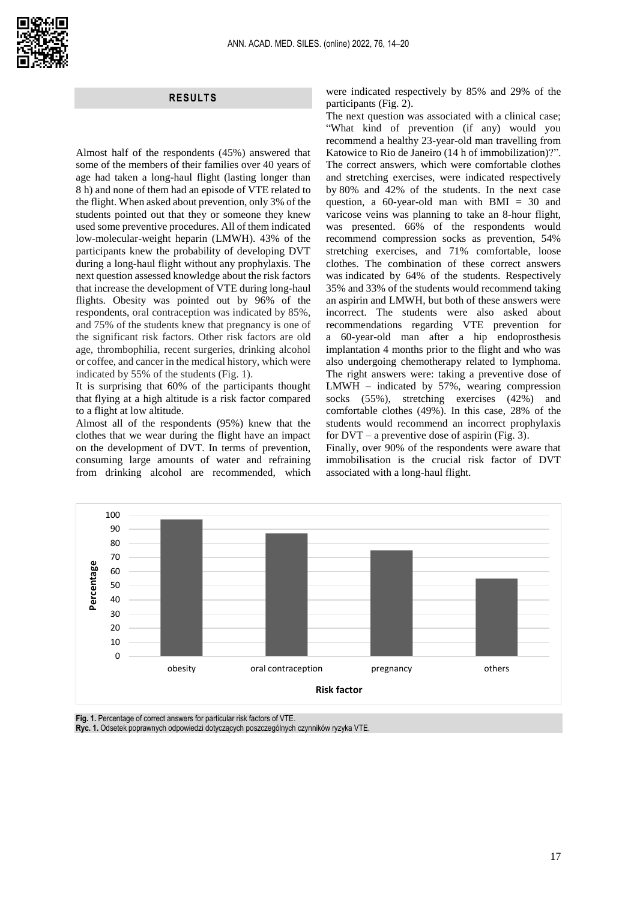## **RESULTS**

Almost half of the respondents (45%) answered that some of the members of their families over 40 years of age had taken a long-haul flight (lasting longer than 8 h) and none of them had an episode of VTE related to the flight. When asked about prevention, only 3% of the students pointed out that they or someone they knew used some preventive procedures. All of them indicated low-molecular-weight heparin (LMWH). 43% of the participants knew the probability of developing DVT during a long-haul flight without any prophylaxis. The next question assessed knowledge about the risk factors that increase the development of VTE during long-haul flights. Obesity was pointed out by 96% of the respondents, oral contraception was indicated by 85%, and 75% of the students knew that pregnancy is one of the significant risk factors. Other risk factors are old age, thrombophilia, recent surgeries, drinking alcohol or coffee, and cancer in the medical history, which were indicated by 55% of the students (Fig. 1).

It is surprising that 60% of the participants thought that flying at a high altitude is a risk factor compared to a flight at low altitude.

Almost all of the respondents (95%) knew that the clothes that we wear during the flight have an impact on the development of DVT. In terms of prevention, consuming large amounts of water and refraining from drinking alcohol are recommended, which

were indicated respectively by 85% and 29% of the participants (Fig. 2).

The next question was associated with a clinical case; "What kind of prevention (if any) would you recommend a healthy 23-year-old man travelling from Katowice to Rio de Janeiro (14 h of immobilization)?". The correct answers, which were comfortable clothes and stretching exercises, were indicated respectively by 80% and 42% of the students. In the next case question, a 60-year-old man with BMI = 30 and varicose veins was planning to take an 8-hour flight, was presented. 66% of the respondents would recommend compression socks as prevention, 54% stretching exercises, and 71% comfortable, loose clothes. The combination of these correct answers was indicated by 64% of the students. Respectively 35% and 33% of the students would recommend taking an aspirin and LMWH, but both of these answers were incorrect. The students were also asked about recommendations regarding VTE prevention for a 60-year-old man after a hip endoprosthesis implantation 4 months prior to the flight and who was also undergoing chemotherapy related to lymphoma. The right answers were: taking a preventive dose of LMWH – indicated by 57%, wearing compression socks (55%), stretching exercises (42%) and comfortable clothes (49%). In this case, 28% of the students would recommend an incorrect prophylaxis for  $DVT - a$  preventive dose of aspirin (Fig. 3).

Finally, over 90% of the respondents were aware that immobilisation is the crucial risk factor of DVT associated with a long-haul flight.



**Fig. 1.** Percentage of correct answers for particular risk factors of VTE.

**Ryc. 1.** Odsetek poprawnych odpowiedzi dotyczących poszczególnych czynników ryzyka VTE.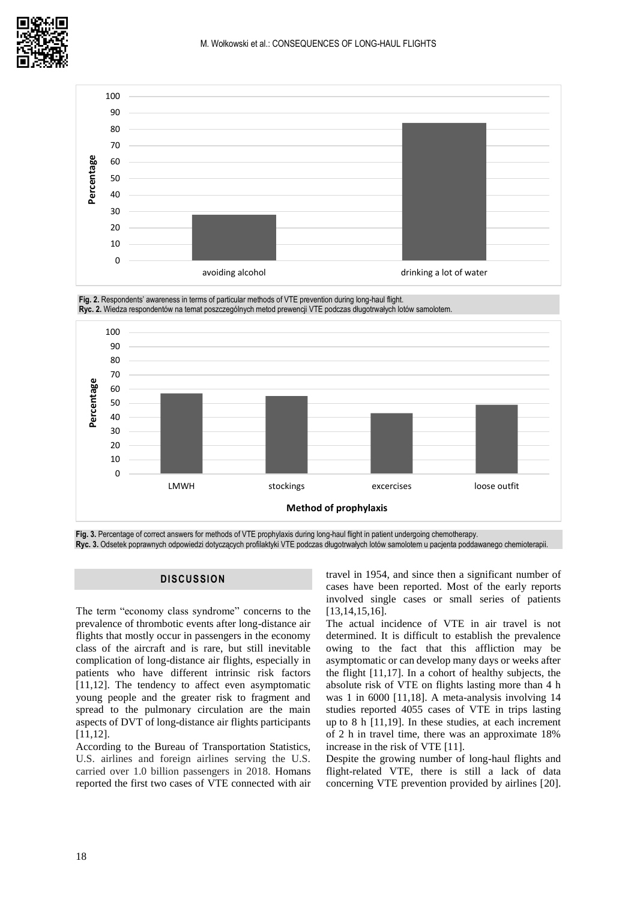







**Fig. 3.** Percentage of correct answers for methods of VTE prophylaxis during long-haul flight in patient undergoing chemotherapy. **Ryc. 3.** Odsetek poprawnych odpowiedzi dotyczących profilaktyki VTE podczas długotrwałych lotów samolotem u pacjenta poddawanego chemioterapii.

# **DISCUSSION**

The term "economy class syndrome" concerns to the prevalence of thrombotic events after long-distance air flights that mostly occur in passengers in the economy class of the aircraft and is rare, but still inevitable complication of long-distance air flights, especially in patients who have different intrinsic risk factors [11,12]. The tendency to affect even asymptomatic young people and the greater risk to fragment and spread to the pulmonary circulation are the main aspects of DVT of long-distance air flights participants [11,12].

According to the Bureau of Transportation Statistics, U.S. airlines and foreign airlines serving the U.S. carried over 1.0 billion passengers in 2018. Homans reported the first two cases of VTE connected with air travel in 1954, and since then a significant number of cases have been reported. Most of the early reports involved single cases or small series of patients [13,14,15,16].

The actual incidence of VTE in air travel is not determined. It is difficult to establish the prevalence owing to the fact that this affliction may be asymptomatic or can develop many days or weeks after the flight [11,17]. In a cohort of healthy subjects, the absolute risk of VTE on flights lasting more than 4 h was 1 in 6000 [11,18]. A meta-analysis involving 14 studies reported 4055 cases of VTE in trips lasting up to 8 h [11,19]. In these studies, at each increment of 2 h in travel time, there was an approximate 18% increase in the risk of VTE [11].

Despite the growing number of long-haul flights and flight-related VTE, there is still a lack of data concerning VTE prevention provided by airlines [20].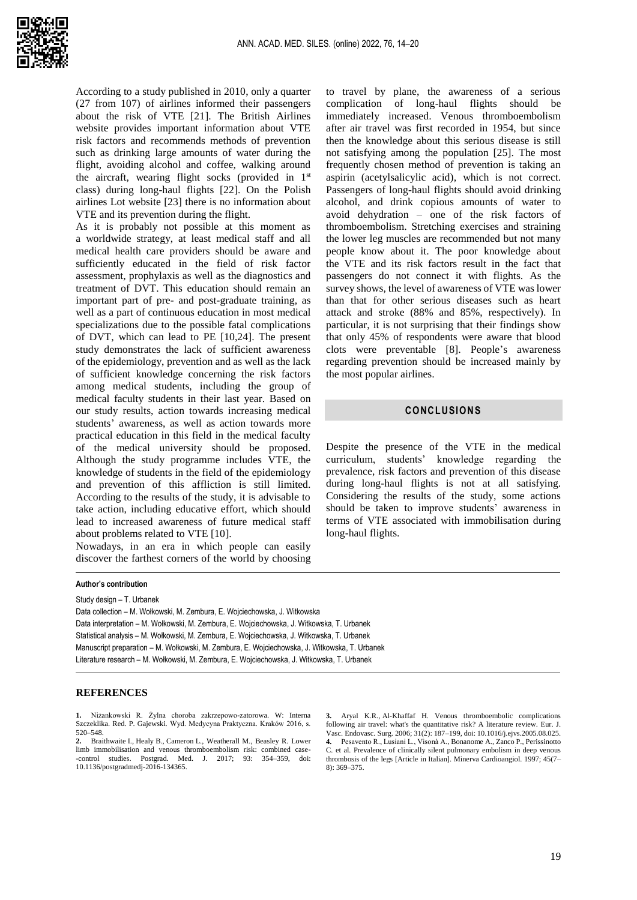

According to a study published in 2010, only a quarter (27 from 107) of airlines informed their passengers about the risk of VTE [21]. The British Airlines website provides important information about VTE risk factors and recommends methods of prevention such as drinking large amounts of water during the flight, avoiding alcohol and coffee, walking around the aircraft, wearing flight socks (provided in  $1<sup>st</sup>$ class) during long-haul flights [22]. On the Polish airlines Lot website [23] there is no information about VTE and its prevention during the flight.

As it is probably not possible at this moment as a worldwide strategy, at least medical staff and all medical health care providers should be aware and sufficiently educated in the field of risk factor assessment, prophylaxis as well as the diagnostics and treatment of DVT. This education should remain an important part of pre- and post-graduate training, as well as a part of continuous education in most medical specializations due to the possible fatal complications of DVT, which can lead to PE [10,24]. The present study demonstrates the lack of sufficient awareness of the epidemiology, prevention and as well as the lack of sufficient knowledge concerning the risk factors among medical students, including the group of medical faculty students in their last year. Based on our study results, action towards increasing medical students' awareness, as well as action towards more practical education in this field in the medical faculty of the medical university should be proposed. Although the study programme includes VTE, the knowledge of students in the field of the epidemiology and prevention of this affliction is still limited. According to the results of the study, it is advisable to take action, including educative effort, which should lead to increased awareness of future medical staff about problems related to VTE [10].

Nowadays, in an era in which people can easily discover the farthest corners of the world by choosing

to travel by plane, the awareness of a serious complication of long-haul flights should be immediately increased. Venous thromboembolism after air travel was first recorded in 1954, but since then the knowledge about this serious disease is still not satisfying among the population [25]. The most frequently chosen method of prevention is taking an aspirin (acetylsalicylic acid), which is not correct. Passengers of long-haul flights should avoid drinking alcohol, and drink copious amounts of water to avoid dehydration – one of the risk factors of thromboembolism. Stretching exercises and straining the lower leg muscles are recommended but not many people know about it. The poor knowledge about the VTE and its risk factors result in the fact that passengers do not connect it with flights. As the survey shows, the level of awareness of VTE was lower than that for other serious diseases such as heart attack and stroke (88% and 85%, respectively). In particular, it is not surprising that their findings show that only 45% of respondents were aware that blood clots were preventable [8]. People's awareness regarding prevention should be increased mainly by the most popular airlines.

#### **CONCLUSIONS**

Despite the presence of the VTE in the medical curriculum, students' knowledge regarding the prevalence, risk factors and prevention of this disease during long-haul flights is not at all satisfying. Considering the results of the study, some actions should be taken to improve students' awareness in terms of VTE associated with immobilisation during long-haul flights.

#### **Author's contribution**

Study design – T. Urbanek

Data collection – M. Wołkowski, M. Zembura, E. Wojciechowska, J. Witkowska Data interpretation – M. Wołkowski, M. Zembura, E. Wojciechowska, J. Witkowska, T. Urbanek Statistical analysis – M. Wołkowski, M. Zembura, E. Wojciechowska, J. Witkowska, T. Urbanek Manuscript preparation – M. Wołkowski, M. Zembura, E. Wojciechowska, J. Witkowska, T. Urbanek Literature research – M. Wołkowski, M. Zembura, E. Wojciechowska, J. Witkowska, T. Urbanek

#### **REFERENCES**

**1.** Niżankowski R. Żylna choroba zakrzepowo-zatorowa. W: Interna Szczeklika. Red. P. Gajewski. Wyd. Medycyna Praktyczna. Kraków 2016, s. 520–548.

**3.** Aryal K.R., Al-Khaffaf H. Venous thromboembolic complications following air travel: what's the quantitative risk? A literature review. Eur. J. Vasc. Endovasc. Surg. 2006; 31(2): 187–199, doi: 10.1016/j.ejvs.2005.08.025. **4.** Pesavento R., Lusiani L., Visonà A.[, Bonanome](https://pubmed.ncbi.nlm.nih.gov/?term=Bonanome+A&cauthor_id=9463172) A.[, Zanco](https://pubmed.ncbi.nlm.nih.gov/?term=Zanco+P&cauthor_id=9463172) P.[, Perissinotto](https://pubmed.ncbi.nlm.nih.gov/?term=Perissinotto+C&cauthor_id=9463172) C. et al. Prevalence of clinically silent pulmonary embolism in deep venous thrombosis of the legs [Article in Italian]. Minerva Cardioangiol. 1997; 45(7– 8): 369–375.

**<sup>2.</sup>** Braithwaite I., Healy B., Cameron L., Weatherall M., Beasley R. Lower limb immobilisation and venous thromboembolism risk: combined case- -control studies. Postgrad. Med. J. 2017; 93: 354–359, doi: 10.1136/postgradmedj-2016-134365.